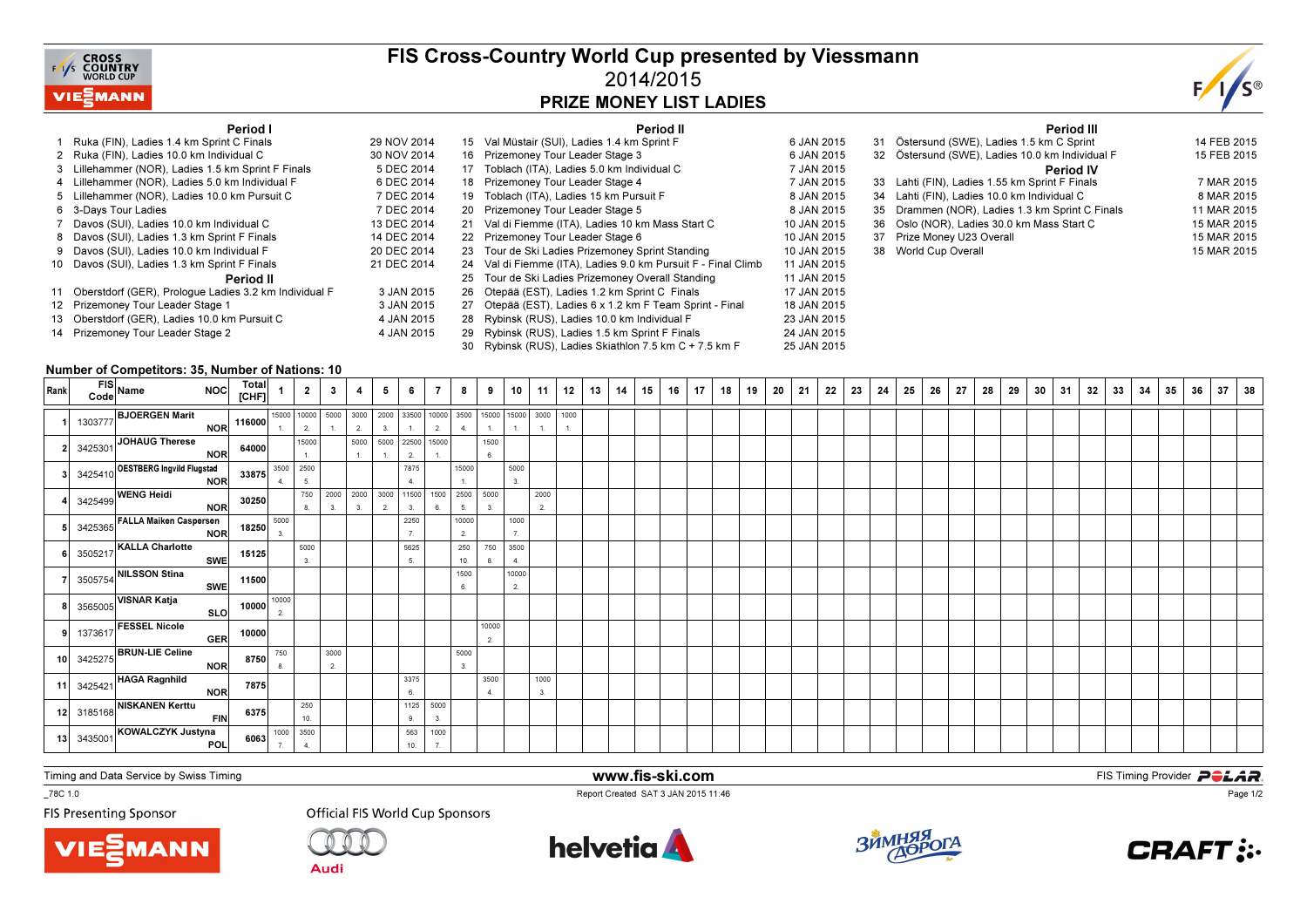

## FIS Cross-Country World Cup presented by Viessmann2014/2015PRIZE MONEY LIST LADIES



### Period I

| Period I                                                 |             |    | Period II                                                  |             |
|----------------------------------------------------------|-------------|----|------------------------------------------------------------|-------------|
| 1 Ruka (FIN), Ladies 1.4 km Sprint C Finals              | 29 NOV 2014 | 15 | Val Müstair (SUI), Ladies 1.4 km Sprint F                  | 6 JAN 2015  |
| 2 Ruka (FIN), Ladies 10.0 km Individual C                | 30 NOV 2014 | 16 | Prizemoney Tour Leader Stage 3                             | 6 JAN 2015  |
| 3 Lillehammer (NOR), Ladies 1.5 km Sprint F Finals       | 5 DEC 2014  | 17 | Toblach (ITA), Ladies 5.0 km Individual C                  | 7 JAN 2015  |
| 4 Lillehammer (NOR), Ladies 5.0 km Individual F          | 6 DEC 2014  | 18 | Prizemoney Tour Leader Stage 4                             | 7 JAN 2015  |
| 5 Lillehammer (NOR), Ladies 10.0 km Pursuit C            | 7 DEC 2014  | 19 | Toblach (ITA), Ladies 15 km Pursuit F                      | 8 JAN 2015  |
| 6 3-Days Tour Ladies                                     | 7 DEC 2014  | 20 | Prizemoney Tour Leader Stage 5                             | 8 JAN 2015  |
| 7 Davos (SUI), Ladies 10.0 km Individual C               | 13 DEC 2014 | 21 | Val di Fiemme (ITA), Ladies 10 km Mass Start C             | 10 JAN 2015 |
| 8 Davos (SUI), Ladies 1.3 km Sprint F Finals             | 14 DEC 2014 | 22 | Prizemoney Tour Leader Stage 6                             | 10 JAN 2015 |
| 9 Davos (SUI), Ladies 10.0 km Individual F               | 20 DEC 2014 | 23 | Tour de Ski Ladies Prizemoney Sprint Standing              | 10 JAN 2015 |
| 10 Davos (SUI), Ladies 1.3 km Sprint F Finals            | 21 DEC 2014 | 24 | Val di Fiemme (ITA), Ladies 9.0 km Pursuit F - Final Climb | 11 JAN 2015 |
| Period II                                                |             | 25 | Tour de Ski Ladies Prizemoney Overall Standing             | 11 JAN 2015 |
| 11 Oberstdorf (GER), Prologue Ladies 3.2 km Individual F | 3 JAN 2015  | 26 | Otepää (EST), Ladies 1.2 km Sprint C Finals                | 17 JAN 2015 |
| 12 Prizemoney Tour Leader Stage 1                        | 3 JAN 2015  | 27 | Otepää (EST), Ladies 6 x 1.2 km F Team Sprint - Final      | 18 JAN 2015 |
| 13 Oberstdorf (GER), Ladies 10.0 km Pursuit C            | 4 JAN 2015  | 28 | Rybinsk (RUS), Ladies 10.0 km Individual F                 | 23 JAN 2015 |
| 14 Prizemoney Tour Leader Stage 2                        | 4 JAN 2015  | 29 | Rybinsk (RUS), Ladies 1.5 km Sprint F Finals               | 24 JAN 2015 |
|                                                          |             | 30 | Rybinsk (RUS), Ladies Skiathlon 7.5 km C + 7.5 km F        | 25 JAN 2015 |

#### Period III <sup>31</sup> Östersund (SWE), Ladies 1.5 km C Sprint 14 FEB 201515 FEB 2015 32 Östersund (SWE), Ladies 10.0 km Individual F Period IV 33 Lahti (FIN), Ladies 1.55 km Sprint F Finals 7 MAR 20158 MAR 2015 34 Lahti (FIN), Ladies 10.0 km Individual C 11 MAR 2015 35 Drammen (NOR), Ladies 1.3 km Sprint C Finals 15 MAR 2015 36 Oslo (NOR), Ladies 30.0 km Mass Start C 15 MAR 201537 Prize Money U23 Overall 15 MAR 201538 World Cup Overall

#### Number of Competitors: 35, Number of Nations: 10

| Rank | FIS<br>Code Name<br>$NOC$ Total 1 2 3 4                                                                                                                                                                                                                             |                 |                                                                                  |            |                          |    | 5 <sub>5</sub>                                            | 6          | $\overline{7}$        | 8           | 9               |             | $10$ 11 12 | $13$ 14 | 15 | $16$   17 | 18 | ∣ 19 | -20 | 21 | 22 | 23 | 24 | 25 | 26 | 27 | 28 | 29 | 30 | 31 | 32 | 33 | 34 | 35 | 36 | 37 | 38 |
|------|---------------------------------------------------------------------------------------------------------------------------------------------------------------------------------------------------------------------------------------------------------------------|-----------------|----------------------------------------------------------------------------------|------------|--------------------------|----|-----------------------------------------------------------|------------|-----------------------|-------------|-----------------|-------------|------------|---------|----|-----------|----|------|-----|----|----|----|----|----|----|----|----|----|----|----|----|----|----|----|----|----|----|
|      | 1303777 <b>BJOERGEN Marit</b><br>146000 10000 10000 10000 10000 2000 2000 10000 10000 10000 15000 15000 16000 16000 16000 16000 16000 16000 1600<br>1. 2. 3. 1. 2. 4. 1. 1. 1. 1. 1.                                                                                |                 |                                                                                  |            |                          |    |                                                           |            |                       |             |                 |             |            |         |    |           |    |      |     |    |    |    |    |    |    |    |    |    |    |    |    |    |    |    |    |    |    |
|      | 3425301 JOHAUG Therese NOR 64000                                                                                                                                                                                                                                    |                 |                                                                                  | 15000      |                          |    |                                                           |            | 5000 5000 22500 15000 |             | 1500            |             |            |         |    |           |    |      |     |    |    |    |    |    |    |    |    |    |    |    |    |    |    |    |    |    |    |
|      |                                                                                                                                                                                                                                                                     |                 |                                                                                  | 1.         |                          | 1. | $\left\langle 1-\mathbf{1},\cdots\mathbf{1}\right\rangle$ | 2.         | $-1$ .                |             | 6.              |             |            |         |    |           |    |      |     |    |    |    |    |    |    |    |    |    |    |    |    |    |    |    |    |    |    |
|      | 3425410 <b>OESTBERG Ingvild Flugstad</b><br>3425499 <b>WENG Heidi</b><br>3425365 <b>FALLA Maiken Caspersen</b><br>NOR 30250 8. 3. 3. 2. 3.<br>3425365 <b>FALLA Maiken Caspersen</b><br>NOR 18250 8000 8000 11500 1<br>8. 3. 3. 2. 3.<br>2250<br>8. 3. 3. 2. 3.<br>8 |                 |                                                                                  |            |                          |    |                                                           |            |                       | 15000       |                 | 5000        |            |         |    |           |    |      |     |    |    |    |    |    |    |    |    |    |    |    |    |    |    |    |    |    |    |
|      |                                                                                                                                                                                                                                                                     |                 |                                                                                  |            |                          |    |                                                           |            | 1500<br>6.            | 5.          | 2500 5000<br>3. |             | 2000<br>2. |         |    |           |    |      |     |    |    |    |    |    |    |    |    |    |    |    |    |    |    |    |    |    |    |
|      |                                                                                                                                                                                                                                                                     |                 |                                                                                  |            |                          |    |                                                           |            |                       | 10000<br>2. |                 | 1000        |            |         |    |           |    |      |     |    |    |    |    |    |    |    |    |    |    |    |    |    |    |    |    |    |    |
|      | $\begin{array}{c c c c} \text{3505217} & \text{KALLA Charlotte} & & & 15125 & & & 5000 \\ \hline & & \text{SWE} & & \text{15125} & & & 3. \\ \end{array}$                                                                                                           |                 |                                                                                  |            |                          |    |                                                           | 5625<br>5. |                       | 250<br>10.  | 750 3500        | 4.          |            |         |    |           |    |      |     |    |    |    |    |    |    |    |    |    |    |    |    |    |    |    |    |    |    |
|      | 3505754 NILSSON Stina                                                                                                                                                                                                                                               | SWE 11500       |                                                                                  |            |                          |    |                                                           |            |                       | 1500<br>6.  |                 | 10000<br>2. |            |         |    |           |    |      |     |    |    |    |    |    |    |    |    |    |    |    |    |    |    |    |    |    |    |
|      | 3565005 VISNAR Katja                                                                                                                                                                                                                                                | SLO 10000 10000 |                                                                                  |            |                          |    |                                                           |            |                       |             |                 |             |            |         |    |           |    |      |     |    |    |    |    |    |    |    |    |    |    |    |    |    |    |    |    |    |    |
|      | 9 1373617 FESSEL Nicole<br>10 3425275 BRUN-LIE Celine<br>10 3425275 BRUN-LIE Celine<br>NOR 8750 8                                                                                                                                                                   |                 |                                                                                  |            |                          |    |                                                           |            |                       |             | 10000<br>2.     |             |            |         |    |           |    |      |     |    |    |    |    |    |    |    |    |    |    |    |    |    |    |    |    |    |    |
|      |                                                                                                                                                                                                                                                                     |                 |                                                                                  |            | 3000<br>$\overline{2}$ . |    |                                                           |            |                       | 5000<br>3.  |                 |             |            |         |    |           |    |      |     |    |    |    |    |    |    |    |    |    |    |    |    |    |    |    |    |    |    |
|      | 11 3425421 HAGA Ragnhild NO                                                                                                                                                                                                                                         |                 |                                                                                  |            |                          |    |                                                           | 3375<br>6. |                       |             | 3500            |             | 1000<br>3. |         |    |           |    |      |     |    |    |    |    |    |    |    |    |    |    |    |    |    |    |    |    |    |    |
|      | 11 3425421 HAGA Ragnhild<br>12 3185168 NISKANEN Kerttu FIN 6375                                                                                                                                                                                                     |                 |                                                                                  | 250<br>10. |                          |    |                                                           | 1125<br>9. | 5000<br>3.            |             |                 |             |            |         |    |           |    |      |     |    |    |    |    |    |    |    |    |    |    |    |    |    |    |    |    |    |    |
|      |                                                                                                                                                                                                                                                                     |                 |                                                                                  |            |                          |    |                                                           | 563        | 1000                  |             |                 |             |            |         |    |           |    |      |     |    |    |    |    |    |    |    |    |    |    |    |    |    |    |    |    |    |    |
|      | 3435001 KOWALCZYK Justyna<br>POL                                                                                                                                                                                                                                    |                 | 6063 $\begin{array}{ c c c }\n\hline\n1000 & 3500 \\ \hline\n7 & 4\n\end{array}$ |            |                          |    |                                                           | 10.        | $7^{\circ}$           |             |                 |             |            |         |    |           |    |      |     |    |    |    |    |    |    |    |    |    |    |    |    |    |    |    |    |    |    |

www.fis-ski.com

Report Created SAT 3 JAN 2015 11:46

Timing and Data Service by Swiss Timing

 $\overline{\phantom{0}}$  78C 1.0

**FIS Presenting Sponsor** 



**Audi** 





**m**<br>Fist Timing Provider<br>F<sup>11:46</sup>



Page 1/2